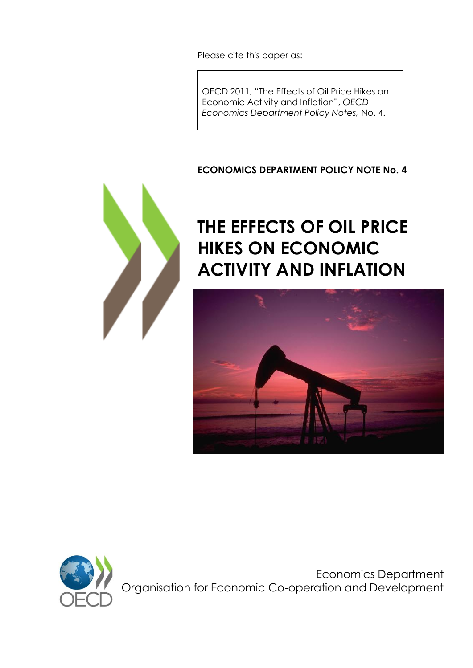Please cite this paper as:

OECD 2011, "The Effects of Oil Price Hikes on Economic Activity and Inflation", *OECD Economics Department Policy Notes,* No. 4.

### **ECONOMICS DEPARTMENT POLICY NOTE No. 4**



# **THE EFFECTS OF OIL PRICE HIKES ON ECONOMIC ACTIVITY AND INFLATION**





Economics Department Organisation for Economic Co-operation and Development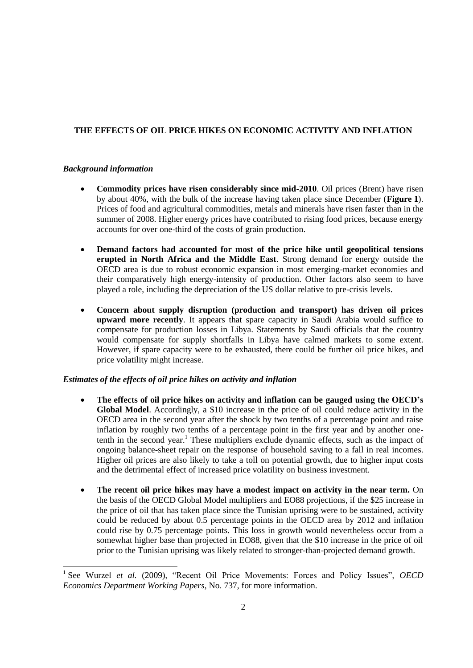#### **THE EFFECTS OF OIL PRICE HIKES ON ECONOMIC ACTIVITY AND INFLATION**

#### *Background information*

l

- **Commodity prices have risen considerably since mid-2010**. Oil prices (Brent) have risen by about 40%, with the bulk of the increase having taken place since December (**Figure 1**). Prices of food and agricultural commodities, metals and minerals have risen faster than in the summer of 2008. Higher energy prices have contributed to rising food prices, because energy accounts for over one-third of the costs of grain production.
- **Demand factors had accounted for most of the price hike until geopolitical tensions erupted in North Africa and the Middle East**. Strong demand for energy outside the OECD area is due to robust economic expansion in most emerging-market economies and their comparatively high energy-intensity of production. Other factors also seem to have played a role, including the depreciation of the US dollar relative to pre-crisis levels.
- **Concern about supply disruption (production and transport) has driven oil prices upward more recently**. It appears that spare capacity in Saudi Arabia would suffice to compensate for production losses in Libya. Statements by Saudi officials that the country would compensate for supply shortfalls in Libya have calmed markets to some extent. However, if spare capacity were to be exhausted, there could be further oil price hikes, and price volatility might increase.

#### *Estimates of the effects of oil price hikes on activity and inflation*

- **The effects of oil price hikes on activity and inflation can be gauged using the OECD's Global Model**. Accordingly, a \$10 increase in the price of oil could reduce activity in the OECD area in the second year after the shock by two tenths of a percentage point and raise inflation by roughly two tenths of a percentage point in the first year and by another onetenth in the second year.<sup>1</sup> These multipliers exclude dynamic effects, such as the impact of ongoing balance-sheet repair on the response of household saving to a fall in real incomes. Higher oil prices are also likely to take a toll on potential growth, due to higher input costs and the detrimental effect of increased price volatility on business investment.
- **The recent oil price hikes may have a modest impact on activity in the near term.** On the basis of the OECD Global Model multipliers and EO88 projections, if the \$25 increase in the price of oil that has taken place since the Tunisian uprising were to be sustained, activity could be reduced by about 0.5 percentage points in the OECD area by 2012 and inflation could rise by 0.75 percentage points. This loss in growth would nevertheless occur from a somewhat higher base than projected in EO88, given that the \$10 increase in the price of oil prior to the Tunisian uprising was likely related to stronger-than-projected demand growth.

<sup>&</sup>lt;sup>1</sup> See Wurzel *et al.* (2009), "Recent Oil Price Movements: Forces and Policy Issues", *OECD Economics Department Working Papers*, No. 737, for more information.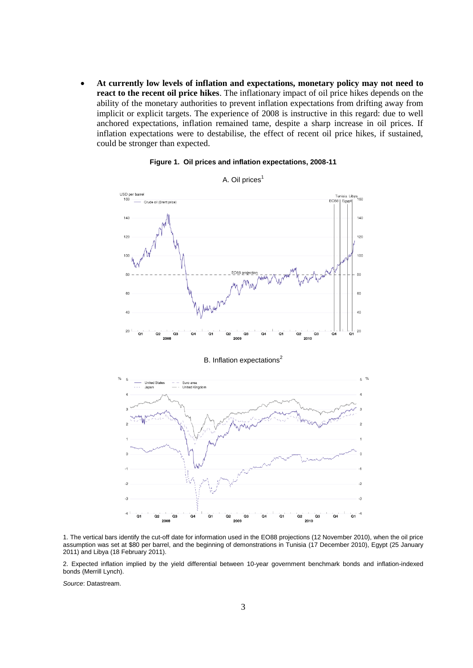**At currently low levels of inflation and expectations, monetary policy may not need to react to the recent oil price hikes**. The inflationary impact of oil price hikes depends on the ability of the monetary authorities to prevent inflation expectations from drifting away from implicit or explicit targets. The experience of 2008 is instructive in this regard: due to well anchored expectations, inflation remained tame, despite a sharp increase in oil prices. If inflation expectations were to destabilise, the effect of recent oil price hikes, if sustained, could be stronger than expected.



#### **Figure 1. Oil prices and inflation expectations, 2008-11**

A. Oil prices<sup>1</sup>

 $-4$ o. Q2 Q.  $Q4$ Q Q2 Q3

1. The vertical bars identify the cut-off date for information used in the EO88 projections (12 November 2010), when the oil price assumption was set at \$80 per barrel, and the beginning of demonstrations in Tunisia (17 December 2010), Egypt (25 January 2011) and Libya (18 February 2011).

2010

2. Expected inflation implied by the yield differential between 10-year government benchmark bonds and inflation-indexed bonds (Merrill Lynch).

*Source*: Datastream.